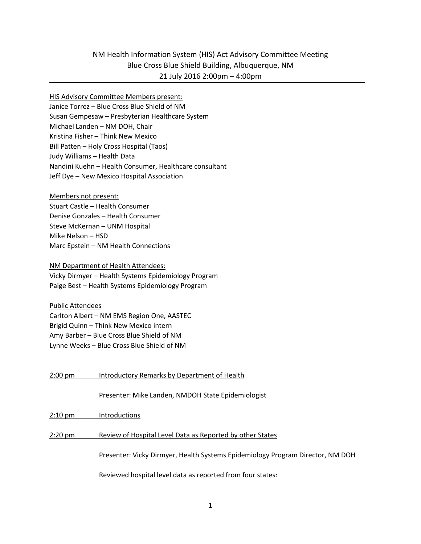# NM Health Information System (HIS) Act Advisory Committee Meeting Blue Cross Blue Shield Building, Albuquerque, NM 21 July 2016 2:00pm – 4:00pm

#### HIS Advisory Committee Members present:

Janice Torrez – Blue Cross Blue Shield of NM Susan Gempesaw – Presbyterian Healthcare System Michael Landen – NM DOH, Chair Kristina Fisher – Think New Mexico Bill Patten – Holy Cross Hospital (Taos) Judy Williams – Health Data Nandini Kuehn – Health Consumer, Healthcare consultant Jeff Dye – New Mexico Hospital Association

Members not present: Stuart Castle – Health Consumer Denise Gonzales – Health Consumer Steve McKernan – UNM Hospital Mike Nelson – HSD Marc Epstein – NM Health Connections

NM Department of Health Attendees: Vicky Dirmyer – Health Systems Epidemiology Program Paige Best – Health Systems Epidemiology Program

Public Attendees Carlton Albert – NM EMS Region One, AASTEC Brigid Quinn – Think New Mexico intern Amy Barber – Blue Cross Blue Shield of NM Lynne Weeks – Blue Cross Blue Shield of NM

2:00 pm Introductory Remarks by Department of Health Presenter: Mike Landen, NMDOH State Epidemiologist 2:10 pm Introductions 2:20 pm Review of Hospital Level Data as Reported by other States Presenter: Vicky Dirmyer, Health Systems Epidemiology Program Director, NM DOH Reviewed hospital level data as reported from four states: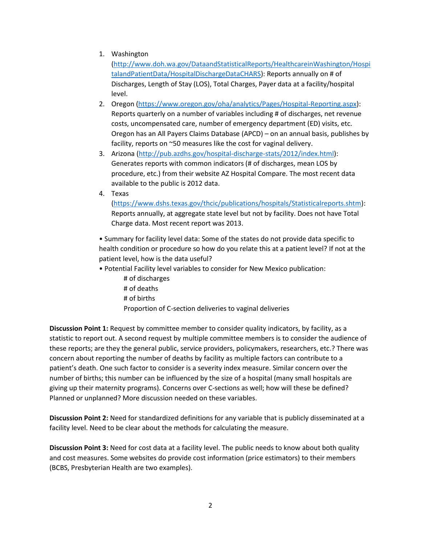1. Washington

[\(http://www.doh.wa.gov/DataandStatisticalReports/HealthcareinWashington/Hospi](http://www.doh.wa.gov/DataandStatisticalReports/HealthcareinWashington/HospitalandPatientData/HospitalDischargeDataCHARS) [talandPatientData/HospitalDischargeDataCHARS\)](http://www.doh.wa.gov/DataandStatisticalReports/HealthcareinWashington/HospitalandPatientData/HospitalDischargeDataCHARS): Reports annually on # of Discharges, Length of Stay (LOS), Total Charges, Payer data at a facility/hospital level.

- 2. Oregon [\(https://www.oregon.gov/oha/analytics/Pages/Hospital-Reporting.aspx\)](https://www.oregon.gov/oha/analytics/Pages/Hospital-Reporting.aspx): Reports quarterly on a number of variables including # of discharges, net revenue costs, uncompensated care, number of emergency department (ED) visits, etc. Oregon has an All Payers Claims Database (APCD) – on an annual basis, publishes by facility, reports on ~50 measures like the cost for vaginal delivery.
- 3. Arizona [\(http://pub.azdhs.gov/hospital-discharge-stats/2012/index.html\)](http://pub.azdhs.gov/hospital-discharge-stats/2012/index.html): Generates reports with common indicators (# of discharges, mean LOS by procedure, etc.) from their website AZ Hospital Compare. The most recent data available to the public is 2012 data.
- 4. Texas

[\(https://www.dshs.texas.gov/thcic/publications/hospitals/Statisticalreports.shtm\)](https://www.dshs.texas.gov/thcic/publications/hospitals/Statisticalreports.shtm): Reports annually, at aggregate state level but not by facility. Does not have Total Charge data. Most recent report was 2013.

• Summary for facility level data: Some of the states do not provide data specific to health condition or procedure so how do you relate this at a patient level? If not at the patient level, how is the data useful?

- Potential Facility level variables to consider for New Mexico publication:
	- # of discharges # of deaths # of births Proportion of C-section deliveries to vaginal deliveries

**Discussion Point 1:** Request by committee member to consider quality indicators, by facility, as a statistic to report out. A second request by multiple committee members is to consider the audience of these reports; are they the general public, service providers, policymakers, researchers, etc.? There was concern about reporting the number of deaths by facility as multiple factors can contribute to a patient's death. One such factor to consider is a severity index measure. Similar concern over the number of births; this number can be influenced by the size of a hospital (many small hospitals are giving up their maternity programs). Concerns over C-sections as well; how will these be defined? Planned or unplanned? More discussion needed on these variables.

**Discussion Point 2:** Need for standardized definitions for any variable that is publicly disseminated at a facility level. Need to be clear about the methods for calculating the measure.

**Discussion Point 3:** Need for cost data at a facility level. The public needs to know about both quality and cost measures. Some websites do provide cost information (price estimators) to their members (BCBS, Presbyterian Health are two examples).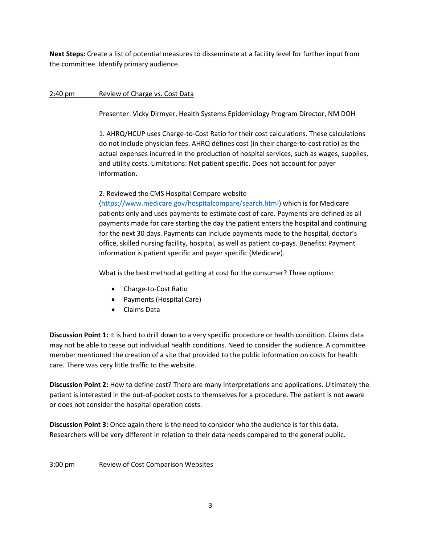**Next Steps:** Create a list of potential measures to disseminate at a facility level for further input from the committee. Identify primary audience.

### 2:40 pm Review of Charge vs. Cost Data

Presenter: Vicky Dirmyer, Health Systems Epidemiology Program Director, NM DOH

1. AHRQ/HCUP uses Charge-to-Cost Ratio for their cost calculations. These calculations do not include physician fees. AHRQ defines cost (in their charge-to-cost ratio) as the actual expenses incurred in the production of hospital services, such as wages, supplies, and utility costs. Limitations: Not patient specific. Does not account for payer information.

#### 2. Reviewed the CMS Hospital Compare website

[\(https://www.medicare.gov/hospitalcompare/search.html\)](https://www.medicare.gov/hospitalcompare/search.html) which is for Medicare patients only and uses payments to estimate cost of care. Payments are defined as all payments made for care starting the day the patient enters the hospital and continuing for the next 30 days. Payments can include payments made to the hospital, doctor's office, skilled nursing facility, hospital, as well as patient co-pays. Benefits: Payment information is patient specific and payer specific (Medicare).

What is the best method at getting at cost for the consumer? Three options:

- Charge-to-Cost Ratio
- Payments (Hospital Care)
- Claims Data

**Discussion Point 1:** It is hard to drill down to a very specific procedure or health condition. Claims data may not be able to tease out individual health conditions. Need to consider the audience. A committee member mentioned the creation of a site that provided to the public information on costs for health care. There was very little traffic to the website.

**Discussion Point 2:** How to define cost? There are many interpretations and applications. Ultimately the patient is interested in the out-of-pocket costs to themselves for a procedure. The patient is not aware or does not consider the hospital operation costs.

**Discussion Point 3:** Once again there is the need to consider who the audience is for this data. Researchers will be very different in relation to their data needs compared to the general public.

#### 3:00 pm Review of Cost Comparison Websites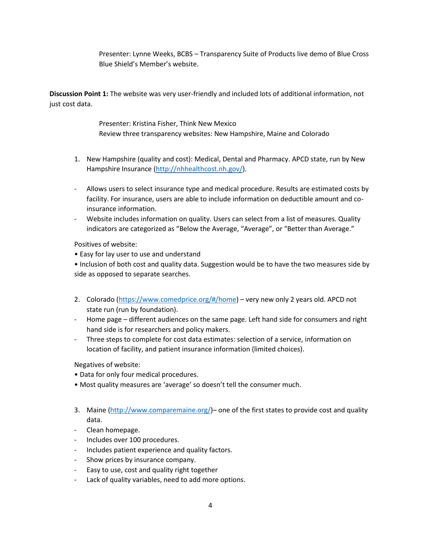Presenter: Lynne Weeks, BCBS – Transparency Suite of Products live demo of Blue Cross Blue Shield's Member's website.

**Discussion Point 1:** The website was very user-friendly and included lots of additional information, not just cost data.

> Presenter: Kristina Fisher, Think New Mexico Review three transparency websites: New Hampshire, Maine and Colorado

- 1. New Hampshire (quality and cost): Medical, Dental and Pharmacy. APCD state, run by New Hampshire Insurance [\(http://nhhealthcost.nh.gov/\)](http://nhhealthcost.nh.gov/).
- Allows users to select insurance type and medical procedure. Results are estimated costs by facility. For insurance, users are able to include information on deductible amount and coinsurance information.
- Website includes information on quality. Users can select from a list of measures. Quality indicators are categorized as "Below the Average, "Average", or "Better than Average."

Positives of website:

• Easy for lay user to use and understand

• Inclusion of both cost and quality data. Suggestion would be to have the two measures side by side as opposed to separate searches.

- 2. Colorado [\(https://www.comedprice.org/#/home\)](https://www.comedprice.org/#/home) very new only 2 years old. APCD not state run (run by foundation).
- Home page different audiences on the same page. Left hand side for consumers and right hand side is for researchers and policy makers.
- Three steps to complete for cost data estimates: selection of a service, information on location of facility, and patient insurance information (limited choices).

Negatives of website:

- Data for only four medical procedures.
- Most quality measures are 'average' so doesn't tell the consumer much.
- 3. Maine [\(http://www.comparemaine.org/\)](http://www.comparemaine.org/) one of the first states to provide cost and quality data.
- Clean homepage.
- Includes over 100 procedures.
- Includes patient experience and quality factors.
- Show prices by insurance company.
- Easy to use, cost and quality right together
- Lack of quality variables, need to add more options.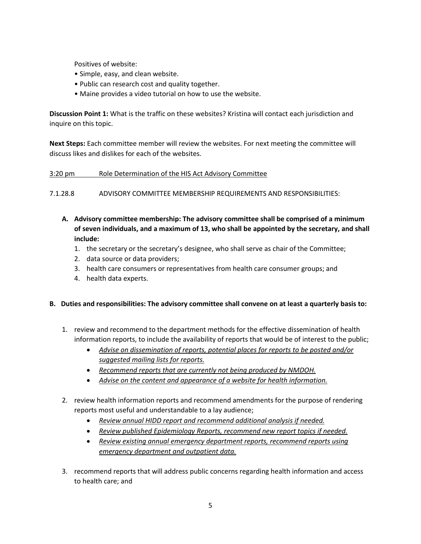Positives of website:

- Simple, easy, and clean website.
- Public can research cost and quality together.
- Maine provides a video tutorial on how to use the website.

**Discussion Point 1:** What is the traffic on these websites? Kristina will contact each jurisdiction and inquire on this topic.

**Next Steps:** Each committee member will review the websites. For next meeting the committee will discuss likes and dislikes for each of the websites.

### 3:20 pm Role Determination of the HIS Act Advisory Committee

7.1.28.8 ADVISORY COMMITTEE MEMBERSHIP REQUIREMENTS AND RESPONSIBILITIES:

- **A. Advisory committee membership: The advisory committee shall be comprised of a minimum of seven individuals, and a maximum of 13, who shall be appointed by the secretary, and shall include:**
	- 1. the secretary or the secretary's designee, who shall serve as chair of the Committee;
	- 2. data source or data providers;
	- 3. health care consumers or representatives from health care consumer groups; and
	- 4. health data experts.

#### **B. Duties and responsibilities: The advisory committee shall convene on at least a quarterly basis to:**

- 1. review and recommend to the department methods for the effective dissemination of health information reports, to include the availability of reports that would be of interest to the public;
	- *Advise on dissemination of reports, potential places for reports to be posted and/or suggested mailing lists for reports.*
	- *Recommend reports that are currently not being produced by NMDOH.*
	- *Advise on the content and appearance of a website for health information.*
- 2. review health information reports and recommend amendments for the purpose of rendering reports most useful and understandable to a lay audience;
	- *Review annual HIDD report and recommend additional analysis if needed.*
	- *Review published Epidemiology Reports, recommend new report topics if needed.*
	- *Review existing annual emergency department reports, recommend reports using emergency department and outpatient data.*
- 3. recommend reports that will address public concerns regarding health information and access to health care; and